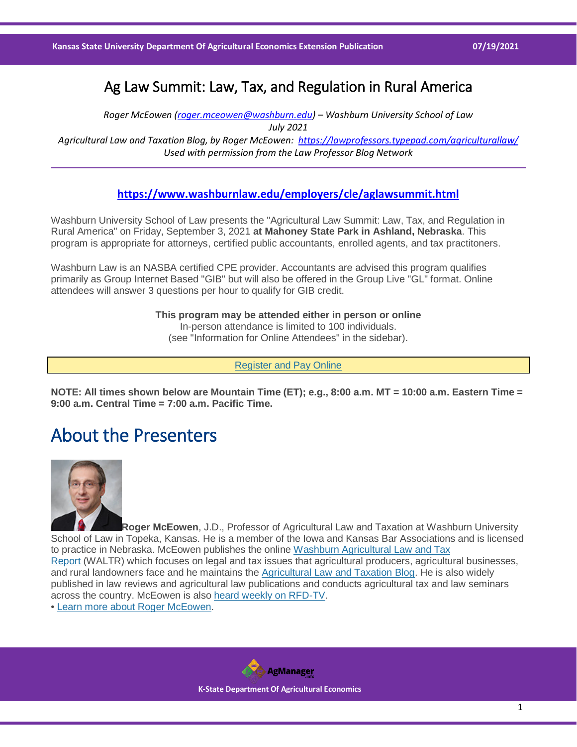### Ag Law Summit: Law, Tax, and Regulation in Rural America

*Roger McEowen [\(roger.mceowen@washburn.edu\)](mailto:roger.mceowen@washburn.edu) – Washburn University School of Law July 2021 Agricultural Law and Taxation Blog, by Roger McEowen:<https://lawprofessors.typepad.com/agriculturallaw/> Used with permission from the Law Professor Blog Network*

#### **<https://www.washburnlaw.edu/employers/cle/aglawsummit.html>**

Washburn University School of Law presents the "Agricultural Law Summit: Law, Tax, and Regulation in Rural America" on Friday, September 3, 2021 **at Mahoney State Park in Ashland, Nebraska**. This program is appropriate for attorneys, certified public accountants, enrolled agents, and tax practitoners.

Washburn Law is an NASBA certified CPE provider. Accountants are advised this program qualifies primarily as Group Internet Based "GIB" but will also be offered in the Group Live "GL" format. Online attendees will answer 3 questions per hour to qualify for GIB credit.

> **This program may be attended either in person or online** In-person attendance is limited to 100 individuals. (see "Information for Online Attendees" in the sidebar).

> > [Register and Pay Online](https://www.washburnlaw.edu/employers/cle/aglawsummitregister.html)

**NOTE: All times shown below are Mountain Time (ET); e.g., 8:00 a.m. MT = 10:00 a.m. Eastern Time = 9:00 a.m. Central Time = 7:00 a.m. Pacific Time.**

## About the Presenters



**Roger McEowen**, J.D., Professor of Agricultural Law and Taxation at Washburn University School of Law in Topeka, Kansas. He is a member of the Iowa and Kansas Bar Associations and is licensed to practice in Nebraska. McEowen publishes the online [Washburn Agricultural Law and Tax](https://www.washburnlaw.edu/practicalexperience/agriculturallaw/waltr/index.html)  [Report](https://www.washburnlaw.edu/practicalexperience/agriculturallaw/waltr/index.html) (WALTR) which focuses on legal and tax issues that agricultural producers, agricultural businesses, and rural landowners face and he maintains the [Agricultural Law and Taxation Blog.](http://lawprofessors.typepad.com/agriculturallaw/) He is also widely published in law reviews and agricultural law publications and conducts agricultural tax and law seminars across the country. McEowen is also [heard weekly on RFD-TV.](https://www.youtube.com/playlist?list=PLV6421PR_GxeEp8zIh-6EMJ9VNkdBlwNL)

• [Learn more about Roger McEowen.](https://www.washburnlaw.edu/practicalexperience/agriculturallaw/waltr/aboutroger/index.html)

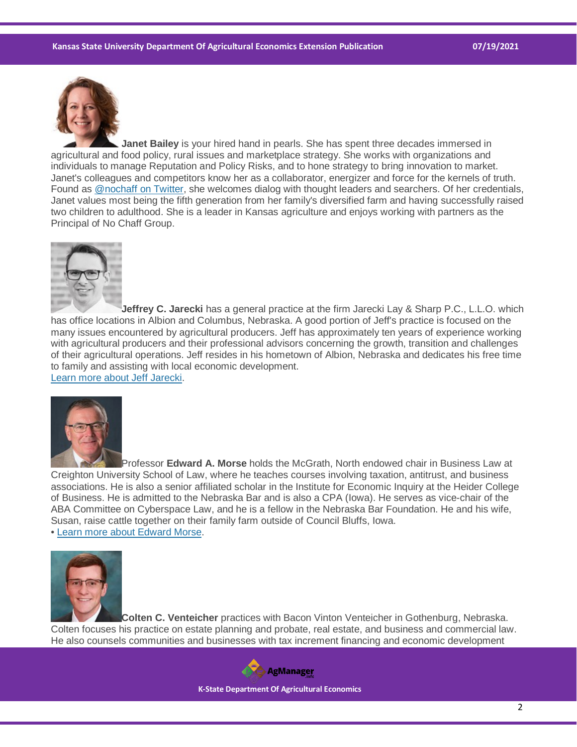

**Janet Bailey** is your hired hand in pearls. She has spent three decades immersed in agricultural and food policy, rural issues and marketplace strategy. She works with organizations and individuals to manage Reputation and Policy Risks, and to hone strategy to bring innovation to market. Janet's colleagues and competitors know her as a collaborator, energizer and force for the kernels of truth. Found as [@nochaff on Twitter,](https://twitter.com/nochaff) she welcomes dialog with thought leaders and searchers. Of her credentials, Janet values most being the fifth generation from her family's diversified farm and having successfully raised two children to adulthood. She is a leader in Kansas agriculture and enjoys working with partners as the Principal of No Chaff Group.



**Jeffrey C. Jarecki** has a general practice at the firm Jarecki Lay & Sharp P.C., L.L.O. which has office locations in Albion and Columbus, Nebraska. A good portion of Jeff's practice is focused on the many issues encountered by agricultural producers. Jeff has approximately ten years of experience working with agricultural producers and their professional advisors concerning the growth, transition and challenges of their agricultural operations. Jeff resides in his hometown of Albion, Nebraska and dedicates his free time to family and assisting with local economic development.

[Learn more about Jeff Jarecki.](https://jlslawpc.com/attorneys-staff/)



Professor **Edward A. Morse** holds the McGrath, North endowed chair in Business Law at Creighton University School of Law, where he teaches courses involving taxation, antitrust, and business associations. He is also a senior affiliated scholar in the Institute for Economic Inquiry at the Heider College of Business. He is admitted to the Nebraska Bar and is also a CPA (Iowa). He serves as vice-chair of the ABA Committee on Cyberspace Law, and he is a fellow in the Nebraska Bar Foundation. He and his wife, Susan, raise cattle together on their family farm outside of Council Bluffs, Iowa. • [Learn more about Edward Morse.](https://law.creighton.edu/faculty-directory-profile/192/edward-morse)



**Colten C. Venteicher** practices with Bacon Vinton Venteicher in Gothenburg, Nebraska. Colten focuses his practice on estate planning and probate, real estate, and business and commercial law. He also counsels communities and businesses with tax increment financing and economic development



 **K-State Department Of Agricultural Economics**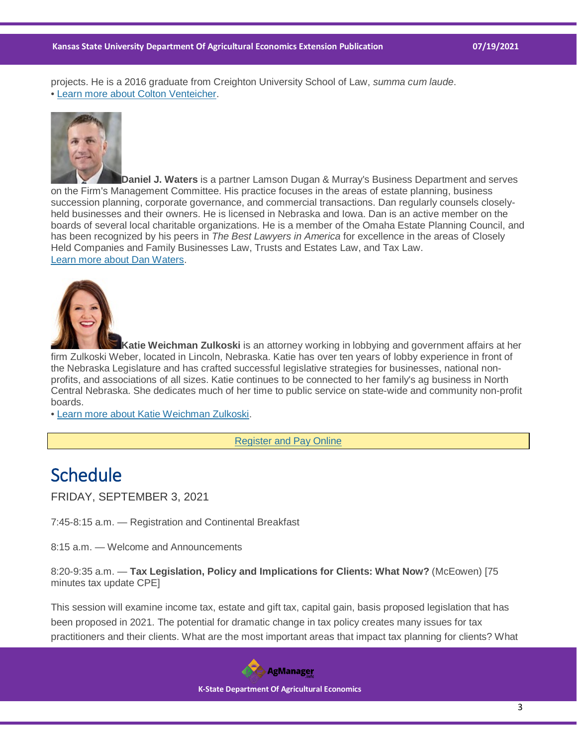projects. He is a 2016 graduate from Creighton University School of Law, *summa cum laude*. • [Learn more about Colton Venteicher.](https://bvv.law/colten-c-venteicher)



**Daniel J. Waters** is a partner Lamson Dugan & Murray's Business Department and serves on the Firm's Management Committee. His practice focuses in the areas of estate planning, business succession planning, corporate governance, and commercial transactions. Dan regularly counsels closelyheld businesses and their owners. He is licensed in Nebraska and Iowa. Dan is an active member on the boards of several local charitable organizations. He is a member of the Omaha Estate Planning Council, and has been recognized by his peers in *The Best Lawyers in America* for excellence in the areas of Closely Held Companies and Family Businesses Law, Trusts and Estates Law, and Tax Law. [Learn more about Dan Waters.](https://www.ldmlaw.com/profiles/daniel-j-waters/)



**Katie Weichman Zulkoski** is an attorney working in lobbying and government affairs at her firm Zulkoski Weber, located in Lincoln, Nebraska. Katie has over ten years of lobby experience in front of the Nebraska Legislature and has crafted successful legislative strategies for businesses, national nonprofits, and associations of all sizes. Katie continues to be connected to her family's ag business in North Central Nebraska. She dedicates much of her time to public service on state-wide and community non-profit boards.

• [Learn more about Katie Weichman Zulkoski.](https://zulkoskiweber.com/meet-our-team/)

[Register and Pay Online](https://www.washburnlaw.edu/employers/cle/aglawsummitregister.html)

## **Schedule**

FRIDAY, SEPTEMBER 3, 2021

7:45-8:15 a.m. — Registration and Continental Breakfast

8:15 a.m. — Welcome and Announcements

8:20-9:35 a.m. — **Tax Legislation, Policy and Implications for Clients: What Now?** (McEowen) [75 minutes tax update CPE]

This session will examine income tax, estate and gift tax, capital gain, basis proposed legislation that has been proposed in 2021. The potential for dramatic change in tax policy creates many issues for tax practitioners and their clients. What are the most important areas that impact tax planning for clients? What

**AgManager** 

 **K-State Department Of Agricultural Economics**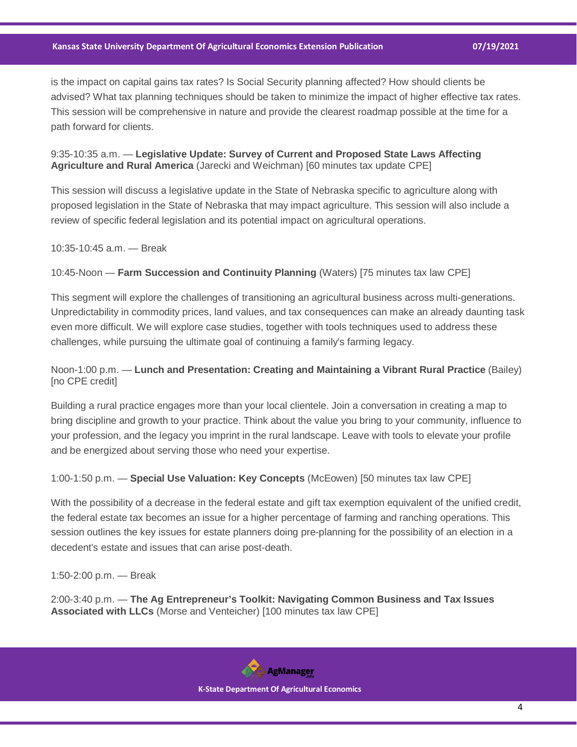is the impact on capital gains tax rates? Is Social Security planning affected? How should clients be advised? What tax planning techniques should be taken to minimize the impact of higher effective tax rates. This session will be comprehensive in nature and provide the clearest roadmap possible at the time for a path forward for clients.

#### 9:35-10:35 a.m. — **Legislative Update: Survey of Current and Proposed State Laws Affecting Agriculture and Rural America** (Jarecki and Weichman) [60 minutes tax update CPE]

This session will discuss a legislative update in the State of Nebraska specific to agriculture along with proposed legislation in the State of Nebraska that may impact agriculture. This session will also include a review of specific federal legislation and its potential impact on agricultural operations.

10:35-10:45 a.m. — Break

10:45-Noon — **Farm Succession and Continuity Planning** (Waters) [75 minutes tax law CPE]

This segment will explore the challenges of transitioning an agricultural business across multi-generations. Unpredictability in commodity prices, land values, and tax consequences can make an already daunting task even more difficult. We will explore case studies, together with tools techniques used to address these challenges, while pursuing the ultimate goal of continuing a family's farming legacy.

#### Noon-1:00 p.m. — **Lunch and Presentation: Creating and Maintaining a Vibrant Rural Practice** (Bailey) [no CPE credit]

Building a rural practice engages more than your local clientele. Join a conversation in creating a map to bring discipline and growth to your practice. Think about the value you bring to your community, influence to your profession, and the legacy you imprint in the rural landscape. Leave with tools to elevate your profile and be energized about serving those who need your expertise.

1:00-1:50 p.m. — **Special Use Valuation: Key Concepts** (McEowen) [50 minutes tax law CPE]

With the possibility of a decrease in the federal estate and gift tax exemption equivalent of the unified credit, the federal estate tax becomes an issue for a higher percentage of farming and ranching operations. This session outlines the key issues for estate planners doing pre-planning for the possibility of an election in a decedent's estate and issues that can arise post-death.

1:50-2:00 p.m. — Break

2:00-3:40 p.m. — **The Ag Entrepreneur's Toolkit: Navigating Common Business and Tax Issues Associated with LLCs** (Morse and Venteicher) [100 minutes tax law CPE]

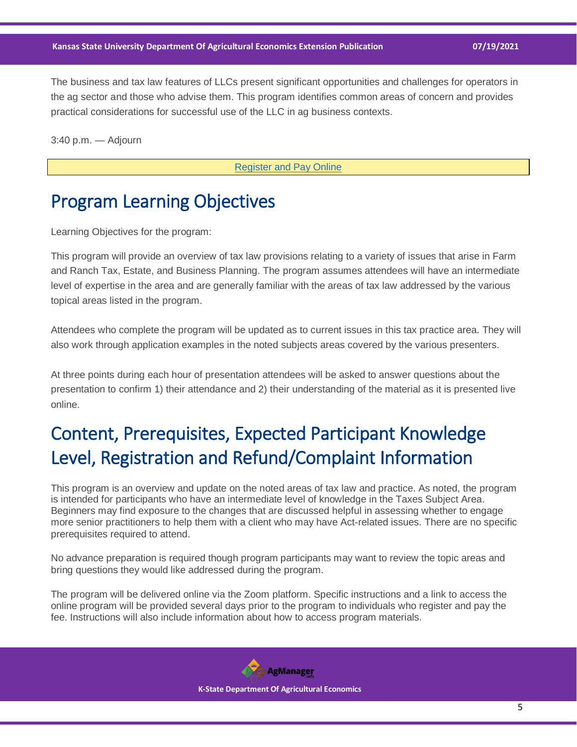The business and tax law features of LLCs present significant opportunities and challenges for operators in the ag sector and those who advise them. This program identifies common areas of concern and provides practical considerations for successful use of the LLC in ag business contexts.

3:40 p.m. — Adjourn

[Register and Pay Online](https://www.washburnlaw.edu/employers/cle/aglawsummitregister.html)

## Program Learning Objectives

Learning Objectives for the program:

This program will provide an overview of tax law provisions relating to a variety of issues that arise in Farm and Ranch Tax, Estate, and Business Planning. The program assumes attendees will have an intermediate level of expertise in the area and are generally familiar with the areas of tax law addressed by the various topical areas listed in the program.

Attendees who complete the program will be updated as to current issues in this tax practice area. They will also work through application examples in the noted subjects areas covered by the various presenters.

At three points during each hour of presentation attendees will be asked to answer questions about the presentation to confirm 1) their attendance and 2) their understanding of the material as it is presented live online.

# Content, Prerequisites, Expected Participant Knowledge Level, Registration and Refund/Complaint Information

This program is an overview and update on the noted areas of tax law and practice. As noted, the program is intended for participants who have an intermediate level of knowledge in the Taxes Subject Area. Beginners may find exposure to the changes that are discussed helpful in assessing whether to engage more senior practitioners to help them with a client who may have Act-related issues. There are no specific prerequisites required to attend.

No advance preparation is required though program participants may want to review the topic areas and bring questions they would like addressed during the program.

The program will be delivered online via the Zoom platform. Specific instructions and a link to access the online program will be provided several days prior to the program to individuals who register and pay the fee. Instructions will also include information about how to access program materials.